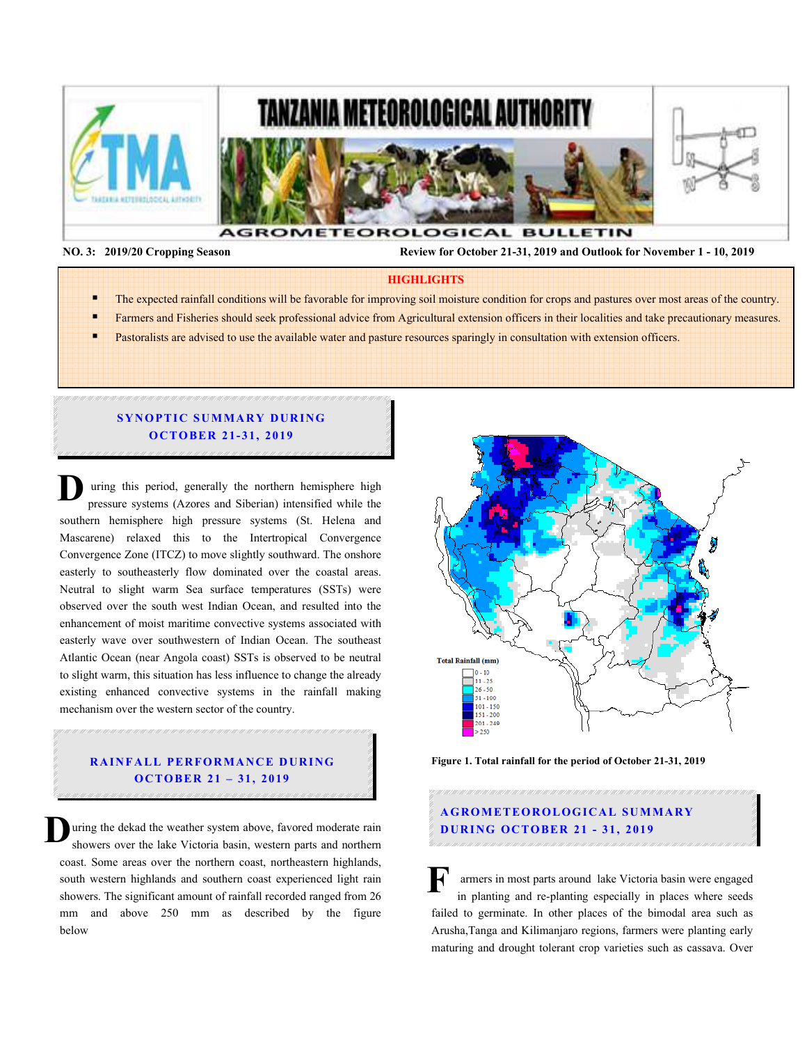

 **NO. 3: 2019/20 Cropping Season Review for October 21-31, 2019 and Outlook for November 1 - 10, 2019** 

#### **HIGHLIGHTS**

- The expected rainfall conditions will be favorable for improving soil moisture condition for crops and pastures over most areas of the country.
- Farmers and Fisheries should seek professional advice from Agricultural extension officers in their localities and take precautionary measures.
	- Pastoralists are advised to use the available water and pasture resources sparingly in consultation with extension officers.

## **SYNOPTIC SUMMARY DURING OCTOBER 21-31, 2019**

 uring this period, generally the northern hemisphere high pressure systems (Azores and Siberian) intensified while the southern hemisphere high pressure systems (St. Helena and Mascarene) relaxed this to the Intertropical Convergence Convergence Zone (ITCZ) to move slightly southward. The onshore easterly to southeasterly flow dominated over the coastal areas. Neutral to slight warm Sea surface temperatures (SSTs) were observed over the south west Indian Ocean, and resulted into the enhancement of moist maritime convective systems associated with easterly wave over southwestern of Indian Ocean. The southeast Atlantic Ocean (near Angola coast) SSTs is observed to be neutral to slight warm, this situation has less influence to change the already existing enhanced convective systems in the rainfall making mechanism over the western sector of the country. **D**

### **RAINFALL PERFORMANCE DURING O C TO BER 21 – 31, 2019**

uring the dekad the weather system above, favored moderate rain showers over the lake Victoria basin, western parts and northern coast. Some areas over the northern coast, northeastern highlands, south western highlands and southern coast experienced light rain showers. The significant amount of rainfall recorded ranged from 26 mm and above 250 mm as described by the figure below **D**



**Figure 1. Total rainfall for the period of October 21-31, 2019** 

# **A G RO M ETEO R O LOG ICA L SU M MA RY D UR ING OC TO BER 21 - 31, 2019**

armers in most parts around lake Victoria basin were engaged in planting and re-planting especially in places where seeds failed to germinate. In other places of the bimodal area such as Arusha,Tanga and Kilimanjaro regions, farmers were planting early maturing and drought tolerant crop varieties such as cassava. Over **F**